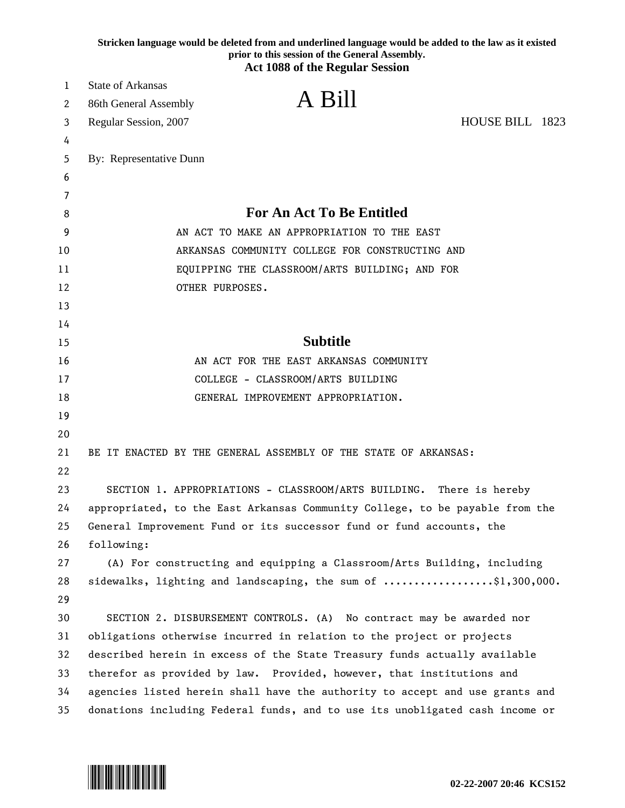|    | Stricken language would be deleted from and underlined language would be added to the law as it existed<br>prior to this session of the General Assembly.<br><b>Act 1088 of the Regular Session</b> |
|----|-----------------------------------------------------------------------------------------------------------------------------------------------------------------------------------------------------|
| 1  | <b>State of Arkansas</b>                                                                                                                                                                            |
| 2  | A Bill<br>86th General Assembly                                                                                                                                                                     |
| 3  | HOUSE BILL 1823<br>Regular Session, 2007                                                                                                                                                            |
| 4  |                                                                                                                                                                                                     |
| 5  | By: Representative Dunn                                                                                                                                                                             |
| 6  |                                                                                                                                                                                                     |
| 7  |                                                                                                                                                                                                     |
| 8  | <b>For An Act To Be Entitled</b>                                                                                                                                                                    |
| 9  | AN ACT TO MAKE AN APPROPRIATION TO THE EAST                                                                                                                                                         |
| 10 | ARKANSAS COMMUNITY COLLEGE FOR CONSTRUCTING AND                                                                                                                                                     |
| 11 | EQUIPPING THE CLASSROOM/ARTS BUILDING; AND FOR                                                                                                                                                      |
| 12 | OTHER PURPOSES.                                                                                                                                                                                     |
| 13 |                                                                                                                                                                                                     |
| 14 |                                                                                                                                                                                                     |
| 15 | <b>Subtitle</b>                                                                                                                                                                                     |
| 16 | AN ACT FOR THE EAST ARKANSAS COMMUNITY                                                                                                                                                              |
| 17 | COLLEGE - CLASSROOM/ARTS BUILDING                                                                                                                                                                   |
| 18 | GENERAL IMPROVEMENT APPROPRIATION.                                                                                                                                                                  |
| 19 |                                                                                                                                                                                                     |
| 20 |                                                                                                                                                                                                     |
| 21 | BE IT ENACTED BY THE GENERAL ASSEMBLY OF THE STATE OF ARKANSAS:                                                                                                                                     |
| 22 |                                                                                                                                                                                                     |
| 23 | SECTION 1. APPROPRIATIONS - CLASSROOM/ARTS BUILDING.<br>There is hereby                                                                                                                             |
| 24 | appropriated, to the East Arkansas Community College, to be payable from the                                                                                                                        |
| 25 | General Improvement Fund or its successor fund or fund accounts, the                                                                                                                                |
| 26 | following:                                                                                                                                                                                          |
| 27 | (A) For constructing and equipping a Classroom/Arts Building, including                                                                                                                             |
| 28 | sidewalks, lighting and landscaping, the sum of $\ldots$ \$1,300,000.                                                                                                                               |
| 29 |                                                                                                                                                                                                     |
| 30 | SECTION 2. DISBURSEMENT CONTROLS. (A) No contract may be awarded nor                                                                                                                                |
| 31 | obligations otherwise incurred in relation to the project or projects                                                                                                                               |
| 32 | described herein in excess of the State Treasury funds actually available                                                                                                                           |
| 33 | therefor as provided by law. Provided, however, that institutions and                                                                                                                               |
| 34 | agencies listed herein shall have the authority to accept and use grants and                                                                                                                        |
| 35 | donations including Federal funds, and to use its unobligated cash income or                                                                                                                        |